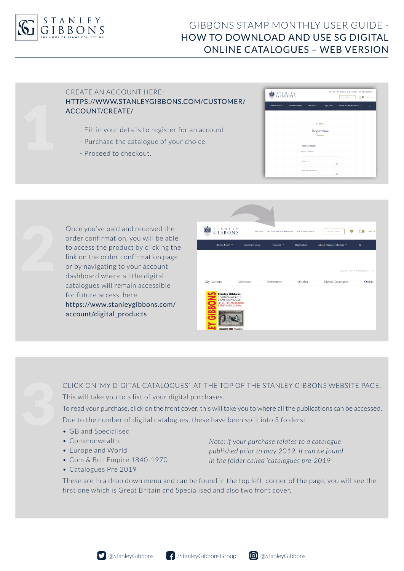

# GIBBONS STAMP MONTHLY USER GUIDE - HOW TO DOWNLOAD AND USE SG DIGITAL ONLINE CATALOGUES – WEB VERSION

# CREATE AN ACCOUNT HERE: HTTPS://WWW.STANLEYGIBBONS.COM/CUSTOMER/ ACCOUNT/CREATE/

- Fill in your details to register for an account.
- Purchase the catalogue of your choice.
- Proceed to checkout.

| STANLEY<br>GIBBONS |                      |                  |                   | MY GSM MY DIGITAL CATALOGUES<br><b>MY ACCOUNT</b> | <b>MY COLLECTION</b><br>no<br>GBP V |  |
|--------------------|----------------------|------------------|-------------------|---------------------------------------------------|-------------------------------------|--|
| Online Store *     | <b>Auction House</b> | Discover v       | <b>Dispatches</b> | About Stanley Gibbons *                           | Q                                   |  |
|                    |                      |                  |                   |                                                   |                                     |  |
|                    |                      |                  | <b>MEMBERS</b>    |                                                   |                                     |  |
|                    |                      |                  | Registration      |                                                   |                                     |  |
|                    |                      |                  |                   |                                                   |                                     |  |
|                    |                      | Your Account     |                   |                                                   |                                     |  |
|                    |                      | EMAIL ADDRESS    |                   |                                                   |                                     |  |
|                    |                      | PASSWORD         |                   |                                                   |                                     |  |
|                    |                      |                  |                   | $\circ$                                           |                                     |  |
|                    |                      | CONFIRM PASSWORD |                   | ග                                                 |                                     |  |



| ANLEY<br>MY GSM      | MY DIGITAL CATALOGUES                                                                                                                                  |                   |                           |                        |
|----------------------|--------------------------------------------------------------------------------------------------------------------------------------------------------|-------------------|---------------------------|------------------------|
|                      |                                                                                                                                                        | MY COLLECTION     | MY ACCOUNT                | GBP v                  |
| <b>Auction House</b> | Discover *                                                                                                                                             | <b>Dispatches</b> | About Stanley Gibbons v   | $\alpha$               |
|                      |                                                                                                                                                        |                   |                           |                        |
|                      |                                                                                                                                                        |                   |                           | LOGOUT OF MY ACCOUNT - |
|                      | Preferences                                                                                                                                            | Wishlist          | <b>Digital Catalogues</b> | Orders                 |
|                      |                                                                                                                                                        |                   |                           |                        |
|                      | <b>Addresses</b><br><b>Stanley Gibbons</b><br>COMMONWEALTH<br>STAMP CATALOGUE<br>ST HELENA, ASCENSION<br>& TRISTAN DA CUNHA<br><b><i>ANGENSION</i></b> |                   |                           |                        |



CLICK ON 'MY DIGITAL CATALOGUES' AT THE TOP OF THE STANLEY GIBBONS WEBSITE PAGE. This will take you to a list of your digital purchases. To read your purchase, click on the front cover, this will take you to where all the publications can be accessed.

Due to the number of digital catalogues, these have been split into 5 folders:

- GB and Specialised
- Commonwealth
- Europe and World
- Com & Brit Empire 1840-1970
- Catalogues Pre 2019

*Note: if your purchase relates to a catalogue published prior to may 2019, it can be found in the folder called 'catalogues pre-2019'*

These are in a drop down menu and can be found in the top left corner of the page, you will see the first one which is Great Britain and Specialised and also two front cover.